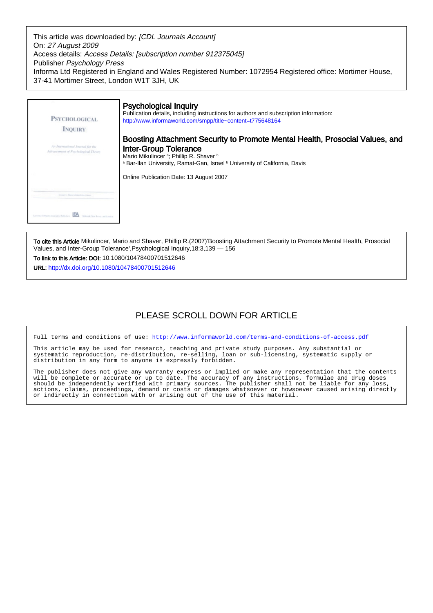This article was downloaded by: [CDL Journals Account] On: 27 August 2009 Access details: Access Details: [subscription number 912375045] Publisher Psychology Press Informa Ltd Registered in England and Wales Registered Number: 1072954 Registered office: Mortimer House, 37-41 Mortimer Street, London W1T 3JH, UK

| <b>PSYCHOLOGICAL</b><br><b>INQUIRY</b>                                  | <b>Psychological Inquiry</b><br>Publication details, including instructions for authors and subscription information:<br>http://www.informaworld.com/smpp/title~content=t775648164                                                                                                 |
|-------------------------------------------------------------------------|------------------------------------------------------------------------------------------------------------------------------------------------------------------------------------------------------------------------------------------------------------------------------------|
| An International Journal for the<br>Advancement of Psychological Theory | Boosting Attachment Security to Promote Mental Health, Prosocial Values, and<br><b>Inter-Group Tolerance</b><br>Mario Mikulincer <sup>a</sup> ; Phillip R. Shaver <sup>b</sup><br><sup>a</sup> Bar-Ilan University, Ramat-Gan, Israel <sup>b</sup> University of California, Davis |
|                                                                         | Online Publication Date: 13 August 2007                                                                                                                                                                                                                                            |

To cite this Article Mikulincer, Mario and Shaver, Phillip R.(2007)'Boosting Attachment Security to Promote Mental Health, Prosocial Values, and Inter-Group Tolerance',Psychological Inquiry,18:3,139 — 156

To link to this Article: DOI: 10.1080/10478400701512646

URL: <http://dx.doi.org/10.1080/10478400701512646>

## PLEASE SCROLL DOWN FOR ARTICLE

Full terms and conditions of use:<http://www.informaworld.com/terms-and-conditions-of-access.pdf>

This article may be used for research, teaching and private study purposes. Any substantial or systematic reproduction, re-distribution, re-selling, loan or sub-licensing, systematic supply or distribution in any form to anyone is expressly forbidden.

The publisher does not give any warranty express or implied or make any representation that the contents will be complete or accurate or up to date. The accuracy of any instructions, formulae and drug doses should be independently verified with primary sources. The publisher shall not be liable for any loss, actions, claims, proceedings, demand or costs or damages whatsoever or howsoever caused arising directly or indirectly in connection with or arising out of the use of this material.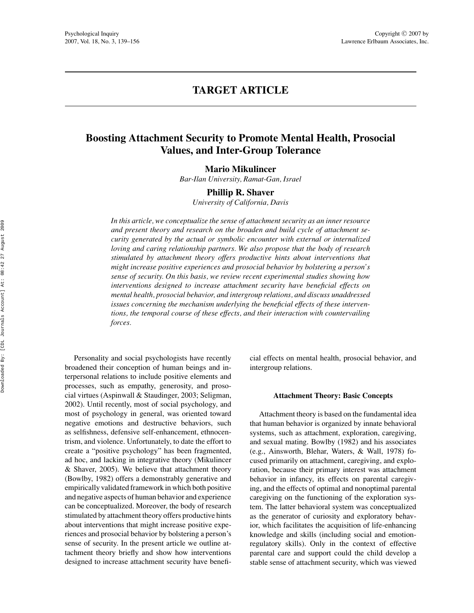# **TARGET ARTICLE**

# **Boosting Attachment Security to Promote Mental Health, Prosocial Values, and Inter-Group Tolerance**

## **Mario Mikulincer**

*Bar-Ilan University, Ramat-Gan, Israel*

#### **Phillip R. Shaver**

*University of California, Davis*

*In this article, we conceptualize the sense of attachment security as an inner resource and present theory and research on the broaden and build cycle of attachment security generated by the actual or symbolic encounter with external or internalized loving and caring relationship partners. We also propose that the body of research stimulated by attachment theory offers productive hints about interventions that might increase positive experiences and prosocial behavior by bolstering a person's sense of security. On this basis, we review recent experimental studies showing how interventions designed to increase attachment security have beneficial effects on mental health, prosocial behavior, and intergroup relations, and discuss unaddressed issues concerning the mechanism underlying the beneficial effects of these interventions, the temporal course of these effects, and their interaction with countervailing forces.*

Personality and social psychologists have recently broadened their conception of human beings and interpersonal relations to include positive elements and processes, such as empathy, generosity, and prosocial virtues (Aspinwall & Staudinger, 2003; Seligman, 2002). Until recently, most of social psychology, and most of psychology in general, was oriented toward negative emotions and destructive behaviors, such as selfishness, defensive self-enhancement, ethnocentrism, and violence. Unfortunately, to date the effort to create a "positive psychology" has been fragmented, ad hoc, and lacking in integrative theory (Mikulincer & Shaver, 2005). We believe that attachment theory (Bowlby, 1982) offers a demonstrably generative and empirically validated framework in which both positive and negative aspects of human behavior and experience can be conceptualized. Moreover, the body of research stimulated by attachment theory offers productive hints about interventions that might increase positive experiences and prosocial behavior by bolstering a person's sense of security. In the present article we outline attachment theory briefly and show how interventions designed to increase attachment security have beneficial effects on mental health, prosocial behavior, and intergroup relations.

#### **Attachment Theory: Basic Concepts**

Attachment theory is based on the fundamental idea that human behavior is organized by innate behavioral systems, such as attachment, exploration, caregiving, and sexual mating. Bowlby (1982) and his associates (e.g., Ainsworth, Blehar, Waters, & Wall, 1978) focused primarily on attachment, caregiving, and exploration, because their primary interest was attachment behavior in infancy, its effects on parental caregiving, and the effects of optimal and nonoptimal parental caregiving on the functioning of the exploration system. The latter behavioral system was conceptualized as the generator of curiosity and exploratory behavior, which facilitates the acquisition of life-enhancing knowledge and skills (including social and emotionregulatory skills). Only in the context of effective parental care and support could the child develop a stable sense of attachment security, which was viewed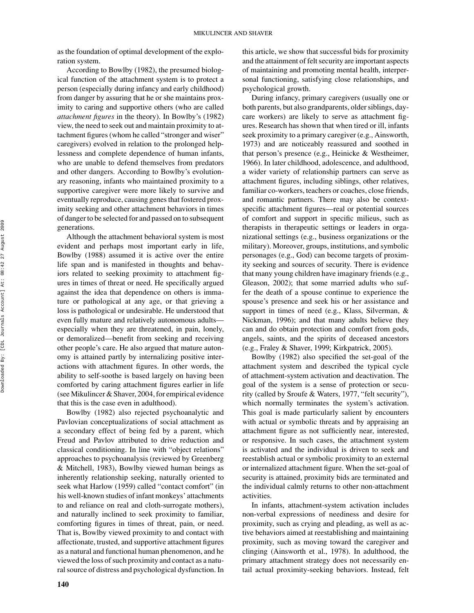as the foundation of optimal development of the exploration system.

According to Bowlby (1982), the presumed biological function of the attachment system is to protect a person (especially during infancy and early childhood) from danger by assuring that he or she maintains proximity to caring and supportive others (who are called *attachment figures* in the theory). In Bowlby's (1982) view, the need to seek out and maintain proximity to attachment figures (whom he called "stronger and wiser" caregivers) evolved in relation to the prolonged helplessness and complete dependence of human infants, who are unable to defend themselves from predators and other dangers. According to Bowlby's evolutionary reasoning, infants who maintained proximity to a supportive caregiver were more likely to survive and eventually reproduce, causing genes that fostered proximity seeking and other attachment behaviors in times of danger to be selected for and passed on to subsequent generations.

Although the attachment behavioral system is most evident and perhaps most important early in life, Bowlby (1988) assumed it is active over the entire life span and is manifested in thoughts and behaviors related to seeking proximity to attachment figures in times of threat or need. He specifically argued against the idea that dependence on others is immature or pathological at any age, or that grieving a loss is pathological or undesirable. He understood that even fully mature and relatively autonomous adults especially when they are threatened, in pain, lonely, or demoralized—benefit from seeking and receiving other people's care. He also argued that mature autonomy is attained partly by internalizing positive interactions with attachment figures. In other words, the ability to self-soothe is based largely on having been comforted by caring attachment figures earlier in life (see Mikulincer & Shaver, 2004, for empirical evidence that this is the case even in adulthood).

Bowlby (1982) also rejected psychoanalytic and Pavlovian conceptualizations of social attachment as a secondary effect of being fed by a parent, which Freud and Pavlov attributed to drive reduction and classical conditioning. In line with "object relations" approaches to psychoanalysis (reviewed by Greenberg & Mitchell, 1983), Bowlby viewed human beings as inherently relationship seeking, naturally oriented to seek what Harlow (1959) called "contact comfort" (in his well-known studies of infant monkeys' attachments to and reliance on real and cloth-surrogate mothers), and naturally inclined to seek proximity to familiar, comforting figures in times of threat, pain, or need. That is, Bowlby viewed proximity to and contact with affectionate, trusted, and supportive attachment figures as a natural and functional human phenomenon, and he viewed the loss of such proximity and contact as a natural source of distress and psychological dysfunction. In this article, we show that successful bids for proximity and the attainment of felt security are important aspects of maintaining and promoting mental health, interpersonal functioning, satisfying close relationships, and psychological growth.

During infancy, primary caregivers (usually one or both parents, but also grandparents, older siblings, daycare workers) are likely to serve as attachment figures. Research has shown that when tired or ill, infants seek proximity to a primary caregiver (e.g., Ainsworth, 1973) and are noticeably reassured and soothed in that person's presence (e.g., Heinicke & Westheimer, 1966). In later childhood, adolescence, and adulthood, a wider variety of relationship partners can serve as attachment figures, including siblings, other relatives, familiar co-workers, teachers or coaches, close friends, and romantic partners. There may also be contextspecific attachment figures—real or potential sources of comfort and support in specific milieus, such as therapists in therapeutic settings or leaders in organizational settings (e.g., business organizations or the military). Moreover, groups, institutions, and symbolic personages (e.g., God) can become targets of proximity seeking and sources of security. There is evidence that many young children have imaginary friends (e.g., Gleason, 2002); that some married adults who suffer the death of a spouse continue to experience the spouse's presence and seek his or her assistance and support in times of need (e.g., Klass, Silverman, & Nickman, 1996); and that many adults believe they can and do obtain protection and comfort from gods, angels, saints, and the spirits of deceased ancestors (e.g., Fraley & Shaver, 1999; Kirkpatrick, 2005).

Bowlby (1982) also specified the set-goal of the attachment system and described the typical cycle of attachment-system activation and deactivation. The goal of the system is a sense of protection or security (called by Sroufe & Waters, 1977, "felt security"), which normally terminates the system's activation. This goal is made particularly salient by encounters with actual or symbolic threats and by appraising an attachment figure as not sufficiently near, interested, or responsive. In such cases, the attachment system is activated and the individual is driven to seek and reestablish actual or symbolic proximity to an external or internalized attachment figure. When the set-goal of security is attained, proximity bids are terminated and the individual calmly returns to other non-attachment activities.

In infants, attachment-system activation includes non-verbal expressions of neediness and desire for proximity, such as crying and pleading, as well as active behaviors aimed at reestablishing and maintaining proximity, such as moving toward the caregiver and clinging (Ainsworth et al., 1978). In adulthood, the primary attachment strategy does not necessarily entail actual proximity-seeking behaviors. Instead, felt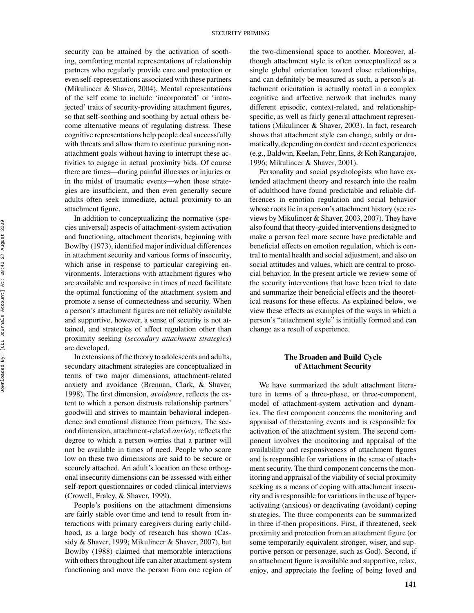security can be attained by the activation of soothing, comforting mental representations of relationship partners who regularly provide care and protection or even self-representations associated with these partners (Mikulincer & Shaver, 2004). Mental representations of the self come to include 'incorporated' or 'introjected' traits of security-providing attachment figures, so that self-soothing and soothing by actual others become alternative means of regulating distress. These cognitive representations help people deal successfully with threats and allow them to continue pursuing nonattachment goals without having to interrupt these activities to engage in actual proximity bids. Of course there are times—during painful illnesses or injuries or in the midst of traumatic events—when these strategies are insufficient, and then even generally secure adults often seek immediate, actual proximity to an attachment figure.

In addition to conceptualizing the normative (species universal) aspects of attachment-system activation and functioning, attachment theorists, beginning with Bowlby (1973), identified major individual differences in attachment security and various forms of insecurity, which arise in response to particular caregiving environments. Interactions with attachment figures who are available and responsive in times of need facilitate the optimal functioning of the attachment system and promote a sense of connectedness and security. When a person's attachment figures are not reliably available and supportive, however, a sense of security is not attained, and strategies of affect regulation other than proximity seeking (*secondary attachment strategies*) are developed.

In extensions of the theory to adolescents and adults, secondary attachment strategies are conceptualized in terms of two major dimensions, attachment-related anxiety and avoidance (Brennan, Clark, & Shaver, 1998). The first dimension, *avoidance*, reflects the extent to which a person distrusts relationship partners' goodwill and strives to maintain behavioral independence and emotional distance from partners. The second dimension, attachment-related *anxiety*, reflects the degree to which a person worries that a partner will not be available in times of need. People who score low on these two dimensions are said to be secure or securely attached. An adult's location on these orthogonal insecurity dimensions can be assessed with either self-report questionnaires or coded clinical interviews (Crowell, Fraley, & Shaver, 1999).

People's positions on the attachment dimensions are fairly stable over time and tend to result from interactions with primary caregivers during early childhood, as a large body of research has shown (Cassidy & Shaver, 1999; Mikulincer & Shaver, 2007), but Bowlby (1988) claimed that memorable interactions with others throughout life can alter attachment-system functioning and move the person from one region of the two-dimensional space to another. Moreover, although attachment style is often conceptualized as a single global orientation toward close relationships, and can definitely be measured as such, a person's attachment orientation is actually rooted in a complex cognitive and affective network that includes many different episodic, context-related, and relationshipspecific, as well as fairly general attachment representations (Mikulincer & Shaver, 2003). In fact, research shows that attachment style can change, subtly or dramatically, depending on context and recent experiences (e.g., Baldwin, Keelan, Fehr, Enns, & Koh Rangarajoo, 1996; Mikulincer & Shaver, 2001).

Personality and social psychologists who have extended attachment theory and research into the realm of adulthood have found predictable and reliable differences in emotion regulation and social behavior whose roots lie in a person's attachment history (see reviews by Mikulincer & Shaver, 2003, 2007). They have also found that theory-guided interventions designed to make a person feel more secure have predictable and beneficial effects on emotion regulation, which is central to mental health and social adjustment, and also on social attitudes and values, which are central to prosocial behavior. In the present article we review some of the security interventions that have been tried to date and summarize their beneficial effects and the theoretical reasons for these effects. As explained below, we view these effects as examples of the ways in which a person's "attachment style" is initially formed and can change as a result of experience.

## **The Broaden and Build Cycle of Attachment Security**

We have summarized the adult attachment literature in terms of a three-phase, or three-component, model of attachment-system activation and dynamics. The first component concerns the monitoring and appraisal of threatening events and is responsible for activation of the attachment system. The second component involves the monitoring and appraisal of the availability and responsiveness of attachment figures and is responsible for variations in the sense of attachment security. The third component concerns the monitoring and appraisal of the viability of social proximity seeking as a means of coping with attachment insecurity and is responsible for variations in the use of hyperactivating (anxious) or deactivating (avoidant) coping strategies. The three components can be summarized in three if-then propositions. First, if threatened, seek proximity and protection from an attachment figure (or some temporarily equivalent stronger, wiser, and supportive person or personage, such as God). Second, if an attachment figure is available and supportive, relax, enjoy, and appreciate the feeling of being loved and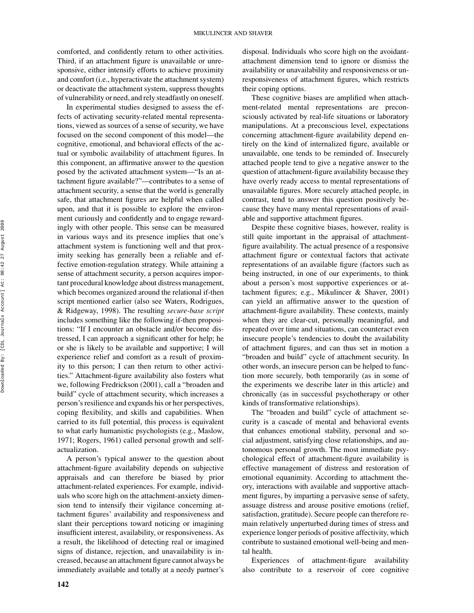comforted, and confidently return to other activities. Third, if an attachment figure is unavailable or unresponsive, either intensify efforts to achieve proximity and comfort (i.e., hyperactivate the attachment system) or deactivate the attachment system, suppress thoughts of vulnerability or need, and rely steadfastly on oneself.

In experimental studies designed to assess the effects of activating security-related mental representations, viewed as sources of a sense of security, we have focused on the second component of this model—the cognitive, emotional, and behavioral effects of the actual or symbolic availability of attachment figures. In this component, an affirmative answer to the question posed by the activated attachment system—"Is an attachment figure available?"—contributes to a sense of attachment security, a sense that the world is generally safe, that attachment figures are helpful when called upon, and that it is possible to explore the environment curiously and confidently and to engage rewardingly with other people. This sense can be measured in various ways and its presence implies that one's attachment system is functioning well and that proximity seeking has generally been a reliable and effective emotion-regulation strategy. While attaining a sense of attachment security, a person acquires important procedural knowledge about distress management, which becomes organized around the relational if-then script mentioned earlier (also see Waters, Rodrigues, & Ridgeway, 1998). The resulting *secure-base script* includes something like the following if-then propositions: "If I encounter an obstacle and/or become distressed, I can approach a significant other for help; he or she is likely to be available and supportive; I will experience relief and comfort as a result of proximity to this person; I can then return to other activities." Attachment-figure availability also fosters what we, following Fredrickson (2001), call a "broaden and build" cycle of attachment security, which increases a person's resilience and expands his or her perspectives, coping flexibility, and skills and capabilities. When carried to its full potential, this process is equivalent to what early humanistic psychologists (e.g., Maslow, 1971; Rogers, 1961) called personal growth and selfactualization.

A person's typical answer to the question about attachment-figure availability depends on subjective appraisals and can therefore be biased by prior attachment-related experiences. For example, individuals who score high on the attachment-anxiety dimension tend to intensify their vigilance concerning attachment figures' availability and responsiveness and slant their perceptions toward noticing or imagining insufficient interest, availability, or responsiveness. As a result, the likelihood of detecting real or imagined signs of distance, rejection, and unavailability is increased, because an attachment figure cannot always be immediately available and totally at a needy partner's disposal. Individuals who score high on the avoidantattachment dimension tend to ignore or dismiss the availability or unavailability and responsiveness or unresponsiveness of attachment figures, which restricts their coping options.

These cognitive biases are amplified when attachment-related mental representations are preconsciously activated by real-life situations or laboratory manipulations. At a preconscious level, expectations concerning attachment-figure availability depend entirely on the kind of internalized figure, available or unavailable, one tends to be reminded of. Insecurely attached people tend to give a negative answer to the question of attachment-figure availability because they have overly ready access to mental representations of unavailable figures. More securely attached people, in contrast, tend to answer this question positively because they have many mental representations of available and supportive attachment figures.

Despite these cognitive biases, however, reality is still quite important in the appraisal of attachmentfigure availability. The actual presence of a responsive attachment figure or contextual factors that activate representations of an available figure (factors such as being instructed, in one of our experiments, to think about a person's most supportive experiences or attachment figures; e.g., Mikulincer & Shaver, 2001) can yield an affirmative answer to the question of attachment-figure availability. These contexts, mainly when they are clear-cut, personally meaningful, and repeated over time and situations, can counteract even insecure people's tendencies to doubt the availability of attachment figures, and can thus set in motion a "broaden and build" cycle of attachment security. In other words, an insecure person can be helped to function more securely, both temporarily (as in some of the experiments we describe later in this article) and chronically (as in successful psychotherapy or other kinds of transformative relationships).

The "broaden and build" cycle of attachment security is a cascade of mental and behavioral events that enhances emotional stability, personal and social adjustment, satisfying close relationships, and autonomous personal growth. The most immediate psychological effect of attachment-figure availability is effective management of distress and restoration of emotional equanimity. According to attachment theory, interactions with available and supportive attachment figures, by imparting a pervasive sense of safety, assuage distress and arouse positive emotions (relief, satisfaction, gratitude). Secure people can therefore remain relatively unperturbed during times of stress and experience longer periods of positive affectivity, which contribute to sustained emotional well-being and mental health.

Experiences of attachment-figure availability also contribute to a reservoir of core cognitive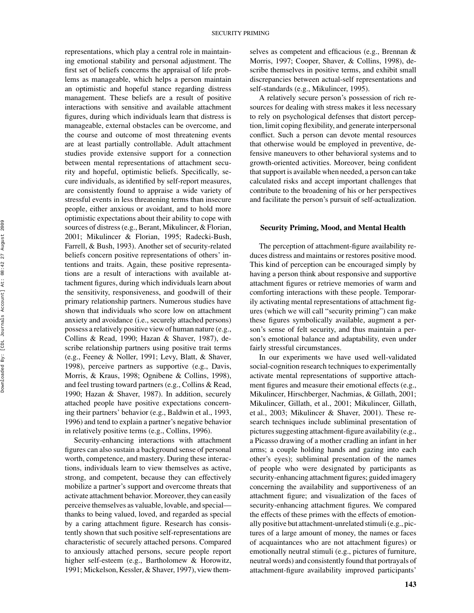representations, which play a central role in maintaining emotional stability and personal adjustment. The first set of beliefs concerns the appraisal of life problems as manageable, which helps a person maintain an optimistic and hopeful stance regarding distress management. These beliefs are a result of positive interactions with sensitive and available attachment figures, during which individuals learn that distress is manageable, external obstacles can be overcome, and the course and outcome of most threatening events are at least partially controllable. Adult attachment studies provide extensive support for a connection between mental representations of attachment security and hopeful, optimistic beliefs. Specifically, secure individuals, as identified by self-report measures, are consistently found to appraise a wide variety of stressful events in less threatening terms than insecure people, either anxious or avoidant, and to hold more optimistic expectations about their ability to cope with sources of distress (e.g., Berant, Mikulincer, & Florian, 2001; Mikulincer & Florian, 1995; Radecki-Bush, Farrell, & Bush, 1993). Another set of security-related beliefs concern positive representations of others' intentions and traits. Again, these positive representations are a result of interactions with available attachment figures, during which individuals learn about the sensitivity, responsiveness, and goodwill of their primary relationship partners. Numerous studies have shown that individuals who score low on attachment anxiety and avoidance (i.e., securely attached persons) possess a relatively positive view of human nature (e.g., Collins & Read, 1990; Hazan & Shaver, 1987), describe relationship partners using positive trait terms (e.g., Feeney & Noller, 1991; Levy, Blatt, & Shaver, 1998), perceive partners as supportive (e.g., Davis, Morris, & Kraus, 1998; Ognibene & Collins, 1998), and feel trusting toward partners (e.g., Collins & Read, 1990; Hazan & Shaver, 1987). In addition, securely attached people have positive expectations concerning their partners' behavior (e.g., Baldwin et al., 1993, 1996) and tend to explain a partner's negative behavior in relatively positive terms (e.g., Collins, 1996).

Security-enhancing interactions with attachment figures can also sustain a background sense of personal worth, competence, and mastery. During these interactions, individuals learn to view themselves as active, strong, and competent, because they can effectively mobilize a partner's support and overcome threats that activate attachment behavior. Moreover, they can easily perceive themselves as valuable, lovable, and special thanks to being valued, loved, and regarded as special by a caring attachment figure. Research has consistently shown that such positive self-representations are characteristic of securely attached persons. Compared to anxiously attached persons, secure people report higher self-esteem (e.g., Bartholomew & Horowitz, 1991; Mickelson, Kessler, & Shaver, 1997), view themselves as competent and efficacious (e.g., Brennan & Morris, 1997; Cooper, Shaver, & Collins, 1998), describe themselves in positive terms, and exhibit small discrepancies between actual-self representations and self-standards (e.g., Mikulincer, 1995).

A relatively secure person's possession of rich resources for dealing with stress makes it less necessary to rely on psychological defenses that distort perception, limit coping flexibility, and generate interpersonal conflict. Such a person can devote mental resources that otherwise would be employed in preventive, defensive maneuvers to other behavioral systems and to growth-oriented activities. Moreover, being confident that support is available when needed, a person can take calculated risks and accept important challenges that contribute to the broadening of his or her perspectives and facilitate the person's pursuit of self-actualization.

### **Security Priming, Mood, and Mental Health**

The perception of attachment-figure availability reduces distress and maintains or restores positive mood. This kind of perception can be encouraged simply by having a person think about responsive and supportive attachment figures or retrieve memories of warm and comforting interactions with these people. Temporarily activating mental representations of attachment figures (which we will call "security priming") can make these figures symbolically available, augment a person's sense of felt security, and thus maintain a person's emotional balance and adaptability, even under fairly stressful circumstances.

In our experiments we have used well-validated social-cognition research techniques to experimentally activate mental representations of supportive attachment figures and measure their emotional effects (e.g., Mikulincer, Hirschberger, Nachmias, & Gillath, 2001; Mikulincer, Gillath, et al., 2001; Mikulincer, Gillath, et al., 2003; Mikulincer & Shaver, 2001). These research techniques include subliminal presentation of pictures suggesting attachment-figure availability (e.g., a Picasso drawing of a mother cradling an infant in her arms; a couple holding hands and gazing into each other's eyes); subliminal presentation of the names of people who were designated by participants as security-enhancing attachment figures; guided imagery concerning the availability and supportiveness of an attachment figure; and visualization of the faces of security-enhancing attachment figures. We compared the effects of these primes with the effects of emotionally positive but attachment-unrelated stimuli (e.g., pictures of a large amount of money, the names or faces of acquaintances who are not attachment figures) or emotionally neutral stimuli (e.g., pictures of furniture, neutral words) and consistently found that portrayals of attachment-figure availability improved participants'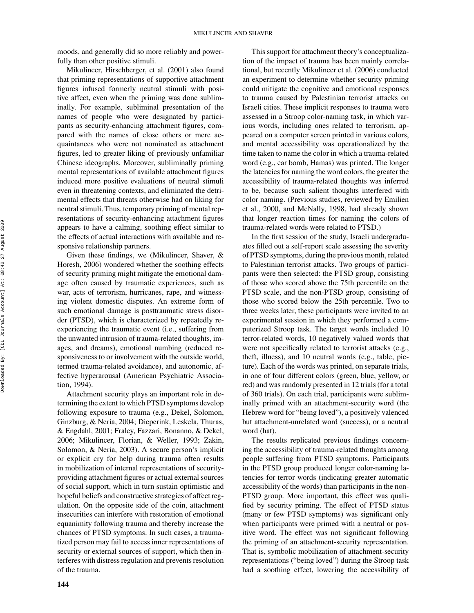moods, and generally did so more reliably and powerfully than other positive stimuli.

Mikulincer, Hirschberger, et al. (2001) also found that priming representations of supportive attachment figures infused formerly neutral stimuli with positive affect, even when the priming was done subliminally. For example, subliminal presentation of the names of people who were designated by participants as security-enhancing attachment figures, compared with the names of close others or mere acquaintances who were not nominated as attachment figures, led to greater liking of previously unfamiliar Chinese ideographs. Moreover, subliminally priming mental representations of available attachment figures induced more positive evaluations of neutral stimuli even in threatening contexts, and eliminated the detrimental effects that threats otherwise had on liking for neutral stimuli. Thus, temporary priming of mental representations of security-enhancing attachment figures appears to have a calming, soothing effect similar to the effects of actual interactions with available and responsive relationship partners.

Given these findings, we (Mikulincer, Shaver, & Horesh, 2006) wondered whether the soothing effects of security priming might mitigate the emotional damage often caused by traumatic experiences, such as war, acts of terrorism, hurricanes, rape, and witnessing violent domestic disputes. An extreme form of such emotional damage is posttraumatic stress disorder (PTSD), which is characterized by repeatedly reexperiencing the traumatic event (i.e., suffering from the unwanted intrusion of trauma-related thoughts, images, and dreams), emotional numbing (reduced responsiveness to or involvement with the outside world, termed trauma-related avoidance), and autonomic, affective hyperarousal (American Psychiatric Association, 1994).

Attachment security plays an important role in determining the extent to which PTSD symptoms develop following exposure to trauma (e.g., Dekel, Solomon, Ginzburg, & Neria, 2004; Dieperink, Leskela, Thuras, & Engdahl, 2001; Fraley, Fazzari, Bonanno, & Dekel, 2006; Mikulincer, Florian, & Weller, 1993; Zakin, Solomon, & Neria, 2003). A secure person's implicit or explicit cry for help during trauma often results in mobilization of internal representations of securityproviding attachment figures or actual external sources of social support, which in turn sustain optimistic and hopeful beliefs and constructive strategies of affect regulation. On the opposite side of the coin, attachment insecurities can interfere with restoration of emotional equanimity following trauma and thereby increase the chances of PTSD symptoms. In such cases, a traumatized person may fail to access inner representations of security or external sources of support, which then interferes with distress regulation and prevents resolution of the trauma.

This support for attachment theory's conceptualization of the impact of trauma has been mainly correlational, but recently Mikulincer et al. (2006) conducted an experiment to determine whether security priming could mitigate the cognitive and emotional responses to trauma caused by Palestinian terrorist attacks on Israeli cities. These implicit responses to trauma were assessed in a Stroop color-naming task, in which various words, including ones related to terrorism, appeared on a computer screen printed in various colors, and mental accessibility was operationalized by the time taken to name the color in which a trauma-related word (e.g., car bomb, Hamas) was printed. The longer the latencies for naming the word colors, the greater the accessibility of trauma-related thoughts was inferred to be, because such salient thoughts interfered with color naming. (Previous studies, reviewed by Emilien et al., 2000, and McNally, 1998, had already shown that longer reaction times for naming the colors of trauma-related words were related to PTSD.)

In the first session of the study, Israeli undergraduates filled out a self-report scale assessing the severity of PTSD symptoms, during the previous month, related to Palestinian terrorist attacks. Two groups of participants were then selected: the PTSD group, consisting of those who scored above the 75th percentile on the PTSD scale, and the non-PTSD group, consisting of those who scored below the 25th percentile. Two to three weeks later, these participants were invited to an experimental session in which they performed a computerized Stroop task. The target words included 10 terror-related words, 10 negatively valued words that were not specifically related to terrorist attacks (e.g., theft, illness), and 10 neutral words (e.g., table, picture). Each of the words was printed, on separate trials, in one of four different colors (green, blue, yellow, or red) and was randomly presented in 12 trials (for a total of 360 trials). On each trial, participants were subliminally primed with an attachment-security word (the Hebrew word for "being loved"), a positively valenced but attachment-unrelated word (success), or a neutral word (hat).

The results replicated previous findings concerning the accessibility of trauma-related thoughts among people suffering from PTSD symptoms. Participants in the PTSD group produced longer color-naming latencies for terror words (indicating greater automatic accessibility of the words) than participants in the non-PTSD group. More important, this effect was qualified by security priming. The effect of PTSD status (many or few PTSD symptoms) was significant only when participants were primed with a neutral or positive word. The effect was not significant following the priming of an attachment-security representation. That is, symbolic mobilization of attachment-security representations ("being loved") during the Stroop task had a soothing effect, lowering the accessibility of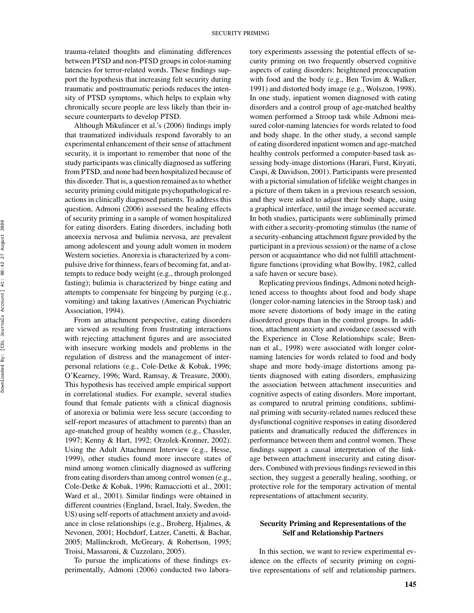trauma-related thoughts and eliminating differences between PTSD and non-PTSD groups in color-naming latencies for terror-related words. These findings support the hypothesis that increasing felt security during traumatic and posttraumatic periods reduces the intensity of PTSD symptoms, which helps to explain why chronically secure people are less likely than their insecure counterparts to develop PTSD.

Although Mikulincer et al.'s (2006) findings imply that traumatized individuals respond favorably to an experimental enhancement of their sense of attachment security, it is important to remember that none of the study participants was clinically diagnosed as suffering from PTSD, and none had been hospitalized because of this disorder. That is, a question remained as to whether security priming could mitigate psychopathological reactions in clinically diagnosed patients. To address this question, Admoni (2006) assessed the healing effects of security priming in a sample of women hospitalized for eating disorders. Eating disorders, including both anorexia nervosa and bulimia nervosa, are prevalent among adolescent and young adult women in modern Western societies. Anorexia is characterized by a compulsive drive for thinness, fears of becoming fat, and attempts to reduce body weight (e.g., through prolonged fasting); bulimia is characterized by binge eating and attempts to compensate for bingeing by purging (e.g., vomiting) and taking laxatives (American Psychiatric Association, 1994).

From an attachment perspective, eating disorders are viewed as resulting from frustrating interactions with rejecting attachment figures and are associated with insecure working models and problems in the regulation of distress and the management of interpersonal relations (e.g., Cole-Detke & Kobak, 1996; O'Kearney, 1996; Ward, Ramsay, & Treasure, 2000). This hypothesis has received ample empirical support in correlational studies. For example, several studies found that female patients with a clinical diagnosis of anorexia or bulimia were less secure (according to self-report measures of attachment to parents) than an age-matched group of healthy women (e.g., Chassler, 1997; Kenny & Hart, 1992; Orzolek-Kronner, 2002). Using the Adult Attachment Interview (e.g., Hesse, 1999), other studies found more insecure states of mind among women clinically diagnosed as suffering from eating disorders than among control women (e.g., Cole-Detke & Kobak, 1996; Ramacciotti et al., 2001; Ward et al., 2001). Similar findings were obtained in different countries (England, Israel, Italy, Sweden, the US) using self-reports of attachment anxiety and avoidance in close relationships (e.g., Broberg, Hjalmes, & Nevonen, 2001; Hochdorf, Latzer, Canetti, & Bachar, 2005; Mallinckrodt, McGreary, & Robertson, 1995; Troisi, Massaroni, & Cuzzolaro, 2005).

To pursue the implications of these findings experimentally, Admoni (2006) conducted two laboratory experiments assessing the potential effects of security priming on two frequently observed cognitive aspects of eating disorders: heightened preoccupation with food and the body (e.g., Ben Tovim & Walker, 1991) and distorted body image (e.g., Wolszon, 1998). In one study, inpatient women diagnosed with eating disorders and a control group of age-matched healthy women performed a Stroop task while Admoni measured color-naming latencies for words related to food and body shape. In the other study, a second sample of eating disordered inpatient women and age-matched healthy controls performed a computer-based task assessing body-image distortions (Harari, Furst, Kiryati, Caspi, & Davidson, 2001). Participants were presented with a pictorial simulation of lifelike weight changes in a picture of them taken in a previous research session, and they were asked to adjust their body shape, using a graphical interface, until the image seemed accurate. In both studies, participants were subliminally primed with either a security-promoting stimulus (the name of a security-enhancing attachment figure provided by the participant in a previous session) or the name of a close person or acquaintance who did not fulfill attachmentfigure functions (providing what Bowlby, 1982, called a safe haven or secure base).

Replicating previous findings, Admoni noted heightened access to thoughts about food and body shape (longer color-naming latencies in the Stroop task) and more severe distortions of body image in the eating disordered groups than in the control groups. In addition, attachment anxiety and avoidance (assessed with the Experience in Close Relationships scale; Brennan et al., 1998) were associated with longer colornaming latencies for words related to food and body shape and more body-image distortions among patients diagnosed with eating disorders, emphasizing the association between attachment insecurities and cognitive aspects of eating disorders. More important, as compared to neutral priming conditions, subliminal priming with security-related names reduced these dysfunctional cognitive responses in eating disordered patients and dramatically reduced the differences in performance between them and control women. These findings support a causal interpretation of the linkage between attachment insecurity and eating disorders. Combined with previous findings reviewed in this section, they suggest a generally healing, soothing, or protective role for the temporary activation of mental representations of attachment security.

### **Security Priming and Representations of the Self and Relationship Partners**

In this section, we want to review experimental evidence on the effects of security priming on cognitive representations of self and relationship partners.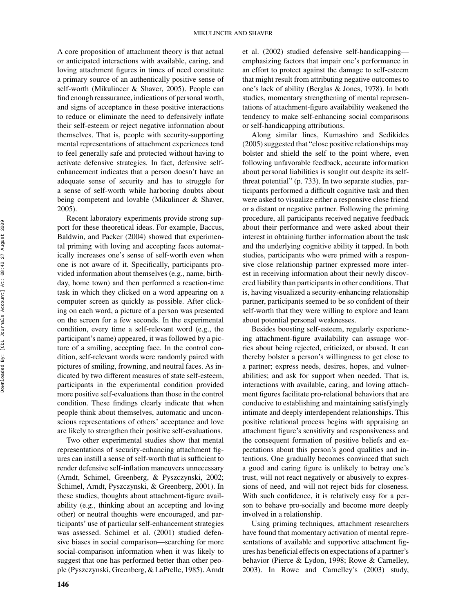A core proposition of attachment theory is that actual or anticipated interactions with available, caring, and loving attachment figures in times of need constitute a primary source of an authentically positive sense of self-worth (Mikulincer & Shaver, 2005). People can find enough reassurance, indications of personal worth, and signs of acceptance in these positive interactions to reduce or eliminate the need to defensively inflate their self-esteem or reject negative information about themselves. That is, people with security-supporting mental representations of attachment experiences tend to feel generally safe and protected without having to activate defensive strategies. In fact, defensive selfenhancement indicates that a person doesn't have an adequate sense of security and has to struggle for a sense of self-worth while harboring doubts about being competent and lovable (Mikulincer & Shaver, 2005).

Recent laboratory experiments provide strong support for these theoretical ideas. For example, Baccus, Baldwin, and Packer (2004) showed that experimental priming with loving and accepting faces automatically increases one's sense of self-worth even when one is not aware of it. Specifically, participants provided information about themselves (e.g., name, birthday, home town) and then performed a reaction-time task in which they clicked on a word appearing on a computer screen as quickly as possible. After clicking on each word, a picture of a person was presented on the screen for a few seconds. In the experimental condition, every time a self-relevant word (e.g., the participant's name) appeared, it was followed by a picture of a smiling, accepting face. In the control condition, self-relevant words were randomly paired with pictures of smiling, frowning, and neutral faces. As indicated by two different measures of state self-esteem, participants in the experimental condition provided more positive self-evaluations than those in the control condition. These findings clearly indicate that when people think about themselves, automatic and unconscious representations of others' acceptance and love are likely to strengthen their positive self-evaluations.

Two other experimental studies show that mental representations of security-enhancing attachment figures can instill a sense of self-worth that is sufficient to render defensive self-inflation maneuvers unnecessary (Arndt, Schimel, Greenberg, & Pyszczynski, 2002; Schimel, Arndt, Pyszczynski, & Greenberg, 2001). In these studies, thoughts about attachment-figure availability (e.g., thinking about an accepting and loving other) or neutral thoughts were encouraged, and participants' use of particular self-enhancement strategies was assessed. Schimel et al. (2001) studied defensive biases in social comparison—searching for more social-comparison information when it was likely to suggest that one has performed better than other people (Pyszczynski, Greenberg, & LaPrelle, 1985). Arndt et al. (2002) studied defensive self-handicapping emphasizing factors that impair one's performance in an effort to protect against the damage to self-esteem that might result from attributing negative outcomes to one's lack of ability (Berglas & Jones, 1978). In both studies, momentary strengthening of mental representations of attachment-figure availability weakened the tendency to make self-enhancing social comparisons or self-handicapping attributions.

Along similar lines, Kumashiro and Sedikides (2005) suggested that "close positive relationships may bolster and shield the self to the point where, even following unfavorable feedback, accurate information about personal liabilities is sought out despite its selfthreat potential" (p. 733). In two separate studies, participants performed a difficult cognitive task and then were asked to visualize either a responsive close friend or a distant or negative partner. Following the priming procedure, all participants received negative feedback about their performance and were asked about their interest in obtaining further information about the task and the underlying cognitive ability it tapped. In both studies, participants who were primed with a responsive close relationship partner expressed more interest in receiving information about their newly discovered liability than participants in other conditions. That is, having visualized a security-enhancing relationship partner, participants seemed to be so confident of their self-worth that they were willing to explore and learn about potential personal weaknesses.

Besides boosting self-esteem, regularly experiencing attachment-figure availability can assuage worries about being rejected, criticized, or abused. It can thereby bolster a person's willingness to get close to a partner; express needs, desires, hopes, and vulnerabilities; and ask for support when needed. That is, interactions with available, caring, and loving attachment figures facilitate pro-relational behaviors that are conducive to establishing and maintaining satisfyingly intimate and deeply interdependent relationships. This positive relational process begins with appraising an attachment figure's sensitivity and responsiveness and the consequent formation of positive beliefs and expectations about this person's good qualities and intentions. One gradually becomes convinced that such a good and caring figure is unlikely to betray one's trust, will not react negatively or abusively to expressions of need, and will not reject bids for closeness. With such confidence, it is relatively easy for a person to behave pro-socially and become more deeply involved in a relationship.

Using priming techniques, attachment researchers have found that momentary activation of mental representations of available and supportive attachment figures has beneficial effects on expectations of a partner's behavior (Pierce & Lydon, 1998; Rowe & Carnelley, 2003). In Rowe and Carnelley's (2003) study,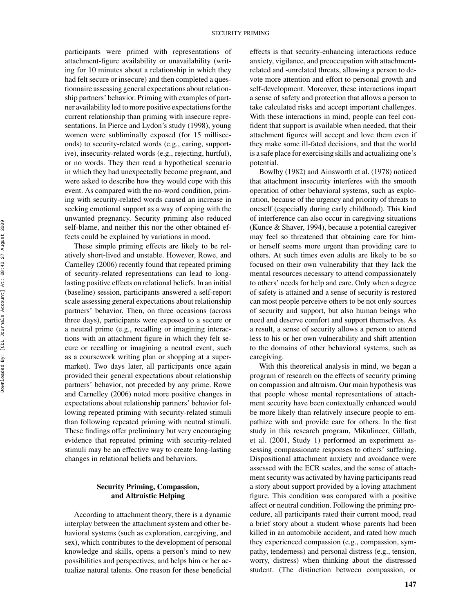participants were primed with representations of attachment-figure availability or unavailability (writing for 10 minutes about a relationship in which they had felt secure or insecure) and then completed a questionnaire assessing general expectations about relationship partners' behavior. Priming with examples of partner availability led to more positive expectations for the current relationship than priming with insecure representations. In Pierce and Lydon's study (1998), young women were subliminally exposed (for 15 milliseconds) to security-related words (e.g., caring, supportive), insecurity-related words (e.g., rejecting, hurtful), or no words. They then read a hypothetical scenario in which they had unexpectedly become pregnant, and were asked to describe how they would cope with this event. As compared with the no-word condition, priming with security-related words caused an increase in seeking emotional support as a way of coping with the unwanted pregnancy. Security priming also reduced self-blame, and neither this nor the other obtained effects could be explained by variations in mood.

These simple priming effects are likely to be relatively short-lived and unstable. However, Rowe, and Carnelley (2006) recently found that repeated priming of security-related representations can lead to longlasting positive effects on relational beliefs. In an initial (baseline) session, participants answered a self-report scale assessing general expectations about relationship partners' behavior. Then, on three occasions (across three days), participants were exposed to a secure or a neutral prime (e.g., recalling or imagining interactions with an attachment figure in which they felt secure or recalling or imagining a neutral event, such as a coursework writing plan or shopping at a supermarket). Two days later, all participants once again provided their general expectations about relationship partners' behavior, not preceded by any prime. Rowe and Carnelley (2006) noted more positive changes in expectations about relationship partners' behavior following repeated priming with security-related stimuli than following repeated priming with neutral stimuli. These findings offer preliminary but very encouraging evidence that repeated priming with security-related stimuli may be an effective way to create long-lasting changes in relational beliefs and behaviors.

## **Security Priming, Compassion, and Altruistic Helping**

According to attachment theory, there is a dynamic interplay between the attachment system and other behavioral systems (such as exploration, caregiving, and sex), which contributes to the development of personal knowledge and skills, opens a person's mind to new possibilities and perspectives, and helps him or her actualize natural talents. One reason for these beneficial effects is that security-enhancing interactions reduce anxiety, vigilance, and preoccupation with attachmentrelated and -unrelated threats, allowing a person to devote more attention and effort to personal growth and self-development. Moreover, these interactions impart a sense of safety and protection that allows a person to take calculated risks and accept important challenges. With these interactions in mind, people can feel confident that support is available when needed, that their attachment figures will accept and love them even if they make some ill-fated decisions, and that the world is a safe place for exercising skills and actualizing one's potential.

Bowlby (1982) and Ainsworth et al. (1978) noticed that attachment insecurity interferes with the smooth operation of other behavioral systems, such as exploration, because of the urgency and priority of threats to oneself (especially during early childhood). This kind of interference can also occur in caregiving situations (Kunce & Shaver, 1994), because a potential caregiver may feel so threatened that obtaining care for himor herself seems more urgent than providing care to others. At such times even adults are likely to be so focused on their own vulnerability that they lack the mental resources necessary to attend compassionately to others' needs for help and care. Only when a degree of safety is attained and a sense of security is restored can most people perceive others to be not only sources of security and support, but also human beings who need and deserve comfort and support themselves. As a result, a sense of security allows a person to attend less to his or her own vulnerability and shift attention to the domains of other behavioral systems, such as caregiving.

With this theoretical analysis in mind, we began a program of research on the effects of security priming on compassion and altruism. Our main hypothesis was that people whose mental representations of attachment security have been contextually enhanced would be more likely than relatively insecure people to empathize with and provide care for others. In the first study in this research program, Mikulincer, Gillath, et al. (2001, Study 1) performed an experiment assessing compassionate responses to others' suffering. Dispositional attachment anxiety and avoidance were assessed with the ECR scales, and the sense of attachment security was activated by having participants read a story about support provided by a loving attachment figure. This condition was compared with a positive affect or neutral condition. Following the priming procedure, all participants rated their current mood, read a brief story about a student whose parents had been killed in an automobile accident, and rated how much they experienced compassion (e.g., compassion, sympathy, tenderness) and personal distress (e.g., tension, worry, distress) when thinking about the distressed student. (The distinction between compassion, or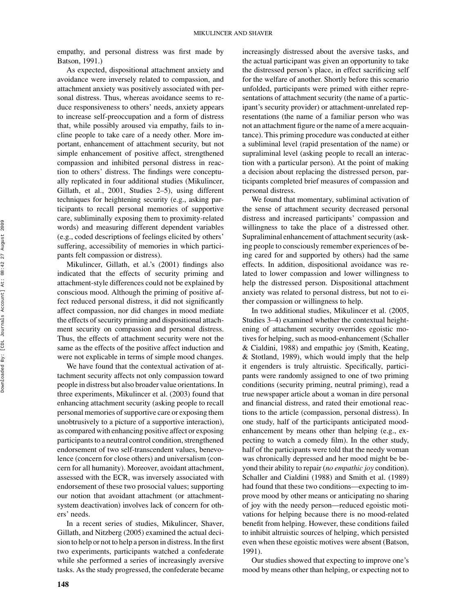empathy, and personal distress was first made by Batson, 1991.)

As expected, dispositional attachment anxiety and avoidance were inversely related to compassion, and attachment anxiety was positively associated with personal distress. Thus, whereas avoidance seems to reduce responsiveness to others' needs, anxiety appears to increase self-preoccupation and a form of distress that, while possibly aroused via empathy, fails to incline people to take care of a needy other. More important, enhancement of attachment security, but not simple enhancement of positive affect, strengthened compassion and inhibited personal distress in reaction to others' distress. The findings were conceptually replicated in four additional studies (Mikulincer, Gillath, et al., 2001, Studies 2–5), using different techniques for heightening security (e.g., asking participants to recall personal memories of supportive care, subliminally exposing them to proximity-related words) and measuring different dependent variables (e.g., coded descriptions of feelings elicited by others' suffering, accessibility of memories in which participants felt compassion or distress).

Mikulincer, Gillath, et al.'s (2001) findings also indicated that the effects of security priming and attachment-style differences could not be explained by conscious mood. Although the priming of positive affect reduced personal distress, it did not significantly affect compassion, nor did changes in mood mediate the effects of security priming and dispositional attachment security on compassion and personal distress. Thus, the effects of attachment security were not the same as the effects of the positive affect induction and were not explicable in terms of simple mood changes.

We have found that the contextual activation of attachment security affects not only compassion toward people in distress but also broader value orientations. In three experiments, Mikulincer et al. (2003) found that enhancing attachment security (asking people to recall personal memories of supportive care or exposing them unobtrusively to a picture of a supportive interaction), as compared with enhancing positive affect or exposing participants to a neutral control condition, strengthened endorsement of two self-transcendent values, benevolence (concern for close others) and universalism (concern for all humanity). Moreover, avoidant attachment, assessed with the ECR, was inversely associated with endorsement of these two prosocial values; supporting our notion that avoidant attachment (or attachmentsystem deactivation) involves lack of concern for others' needs.

In a recent series of studies, Mikulincer, Shaver, Gillath, and Nitzberg (2005) examined the actual decision to help or not to help a person in distress. In the first two experiments, participants watched a confederate while she performed a series of increasingly aversive tasks. As the study progressed, the confederate became increasingly distressed about the aversive tasks, and the actual participant was given an opportunity to take the distressed person's place, in effect sacrificing self for the welfare of another. Shortly before this scenario unfolded, participants were primed with either representations of attachment security (the name of a participant's security provider) or attachment-unrelated representations (the name of a familiar person who was not an attachment figure or the name of a mere acquaintance). This priming procedure was conducted at either a subliminal level (rapid presentation of the name) or supraliminal level (asking people to recall an interaction with a particular person). At the point of making a decision about replacing the distressed person, participants completed brief measures of compassion and personal distress.

We found that momentary, subliminal activation of the sense of attachment security decreased personal distress and increased participants' compassion and willingness to take the place of a distressed other. Supraliminal enhancement of attachment security (asking people to consciously remember experiences of being cared for and supported by others) had the same effects. In addition, dispositional avoidance was related to lower compassion and lower willingness to help the distressed person. Dispositional attachment anxiety was related to personal distress, but not to either compassion or willingness to help.

In two additional studies, Mikulincer et al. (2005, Studies 3–4) examined whether the contextual heightening of attachment security overrides egoistic motives for helping, such as mood-enhancement (Schaller & Cialdini, 1988) and empathic joy (Smith, Keating, & Stotland, 1989), which would imply that the help it engenders is truly altruistic. Specifically, participants were randomly assigned to one of two priming conditions (security priming, neutral priming), read a true newspaper article about a woman in dire personal and financial distress, and rated their emotional reactions to the article (compassion, personal distress). In one study, half of the participants anticipated moodenhancement by means other than helping (e.g., expecting to watch a comedy film). In the other study, half of the participants were told that the needy woman was chronically depressed and her mood might be beyond their ability to repair (*no empathic joy* condition). Schaller and Cialdini (1988) and Smith et al. (1989) had found that these two conditions—expecting to improve mood by other means or anticipating no sharing of joy with the needy person—reduced egoistic motivations for helping because there is no mood-related benefit from helping. However, these conditions failed to inhibit altruistic sources of helping, which persisted even when these egoistic motives were absent (Batson, 1991).

Our studies showed that expecting to improve one's mood by means other than helping, or expecting not to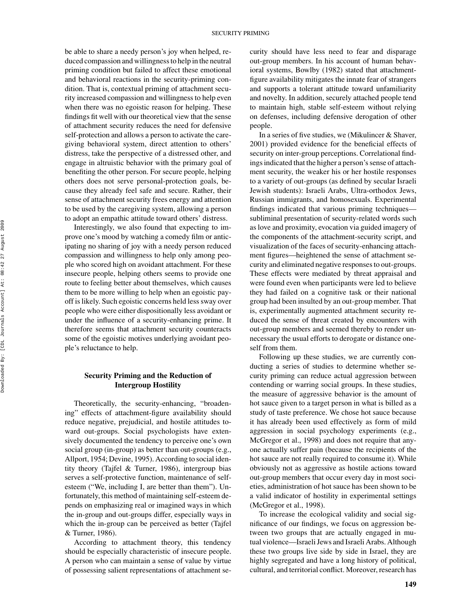be able to share a needy person's joy when helped, reduced compassion and willingness to help in the neutral priming condition but failed to affect these emotional and behavioral reactions in the security-priming condition. That is, contextual priming of attachment security increased compassion and willingness to help even when there was no egoistic reason for helping. These findings fit well with our theoretical view that the sense of attachment security reduces the need for defensive self-protection and allows a person to activate the caregiving behavioral system, direct attention to others' distress, take the perspective of a distressed other, and engage in altruistic behavior with the primary goal of benefiting the other person. For secure people, helping others does not serve personal-protection goals, because they already feel safe and secure. Rather, their sense of attachment security frees energy and attention to be used by the caregiving system, allowing a person to adopt an empathic attitude toward others' distress.

Interestingly, we also found that expecting to improve one's mood by watching a comedy film or anticipating no sharing of joy with a needy person reduced compassion and willingness to help only among people who scored high on avoidant attachment. For these insecure people, helping others seems to provide one route to feeling better about themselves, which causes them to be more willing to help when an egoistic payoff is likely. Such egoistic concerns held less sway over people who were either dispositionally less avoidant or under the influence of a security-enhancing prime. It therefore seems that attachment security counteracts some of the egoistic motives underlying avoidant people's reluctance to help.

### **Security Priming and the Reduction of Intergroup Hostility**

Theoretically, the security-enhancing, "broadening" effects of attachment-figure availability should reduce negative, prejudicial, and hostile attitudes toward out-groups. Social psychologists have extensively documented the tendency to perceive one's own social group (in-group) as better than out-groups (e.g., Allport, 1954; Devine, 1995). According to social identity theory (Tajfel & Turner, 1986), intergroup bias serves a self-protective function, maintenance of selfesteem ("We, including I, are better than them"). Unfortunately, this method of maintaining self-esteem depends on emphasizing real or imagined ways in which the in-group and out-groups differ, especially ways in which the in-group can be perceived as better (Tajfel & Turner, 1986).

According to attachment theory, this tendency should be especially characteristic of insecure people. A person who can maintain a sense of value by virtue of possessing salient representations of attachment security should have less need to fear and disparage out-group members. In his account of human behavioral systems, Bowlby (1982) stated that attachmentfigure availability mitigates the innate fear of strangers and supports a tolerant attitude toward unfamiliarity and novelty. In addition, securely attached people tend to maintain high, stable self-esteem without relying on defenses, including defensive derogation of other people.

In a series of five studies, we (Mikulincer & Shaver, 2001) provided evidence for the beneficial effects of security on inter-group perceptions. Correlational findings indicated that the higher a person's sense of attachment security, the weaker his or her hostile responses to a variety of out-groups (as defined by secular Israeli Jewish students): Israeli Arabs, Ultra-orthodox Jews, Russian immigrants, and homosexuals. Experimental findings indicated that various priming techniques subliminal presentation of security-related words such as love and proximity, evocation via guided imagery of the components of the attachment-security script, and visualization of the faces of security-enhancing attachment figures—heightened the sense of attachment security and eliminated negative responses to out-groups. These effects were mediated by threat appraisal and were found even when participants were led to believe they had failed on a cognitive task or their national group had been insulted by an out-group member. That is, experimentally augmented attachment security reduced the sense of threat created by encounters with out-group members and seemed thereby to render unnecessary the usual efforts to derogate or distance oneself from them.

Following up these studies, we are currently conducting a series of studies to determine whether security priming can reduce actual aggression between contending or warring social groups. In these studies, the measure of aggressive behavior is the amount of hot sauce given to a target person in what is billed as a study of taste preference. We chose hot sauce because it has already been used effectively as form of mild aggression in social psychology experiments (e.g., McGregor et al., 1998) and does not require that anyone actually suffer pain (because the recipients of the hot sauce are not really required to consume it). While obviously not as aggressive as hostile actions toward out-group members that occur every day in most societies, administration of hot sauce has been shown to be a valid indicator of hostility in experimental settings (McGregor et al., 1998).

To increase the ecological validity and social significance of our findings, we focus on aggression between two groups that are actually engaged in mutual violence—Israeli Jews and Israeli Arabs. Although these two groups live side by side in Israel, they are highly segregated and have a long history of political, cultural, and territorial conflict. Moreover, research has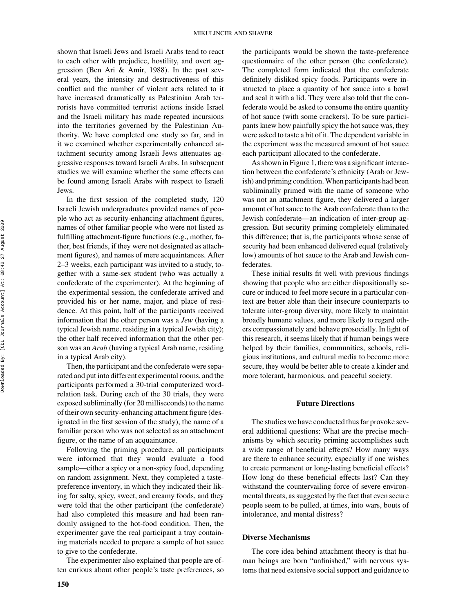shown that Israeli Jews and Israeli Arabs tend to react to each other with prejudice, hostility, and overt aggression (Ben Ari & Amir, 1988). In the past several years, the intensity and destructiveness of this conflict and the number of violent acts related to it have increased dramatically as Palestinian Arab terrorists have committed terrorist actions inside Israel and the Israeli military has made repeated incursions into the territories governed by the Palestinian Authority. We have completed one study so far, and in it we examined whether experimentally enhanced attachment security among Israeli Jews attenuates aggressive responses toward Israeli Arabs. In subsequent studies we will examine whether the same effects can be found among Israeli Arabs with respect to Israeli Jews.

In the first session of the completed study, 120 Israeli Jewish undergraduates provided names of people who act as security-enhancing attachment figures, names of other familiar people who were not listed as fulfilling attachment-figure functions (e.g., mother, father, best friends, if they were not designated as attachment figures), and names of mere acquaintances. After 2–3 weeks, each participant was invited to a study, together with a same-sex student (who was actually a confederate of the experimenter). At the beginning of the experimental session, the confederate arrived and provided his or her name, major, and place of residence. At this point, half of the participants received information that the other person was a *Jew* (having a typical Jewish name, residing in a typical Jewish city); the other half received information that the other person was an *Arab* (having a typical Arab name, residing in a typical Arab city).

Then, the participant and the confederate were separated and put into different experimental rooms, and the participants performed a 30-trial computerized wordrelation task. During each of the 30 trials, they were exposed subliminally (for 20 milliseconds) to the name of their own security-enhancing attachment figure (designated in the first session of the study), the name of a familiar person who was not selected as an attachment figure, or the name of an acquaintance.

Following the priming procedure, all participants were informed that they would evaluate a food sample—either a spicy or a non-spicy food, depending on random assignment. Next, they completed a tastepreference inventory, in which they indicated their liking for salty, spicy, sweet, and creamy foods, and they were told that the other participant (the confederate) had also completed this measure and had been randomly assigned to the hot-food condition. Then, the experimenter gave the real participant a tray containing materials needed to prepare a sample of hot sauce to give to the confederate.

The experimenter also explained that people are often curious about other people's taste preferences, so the participants would be shown the taste-preference questionnaire of the other person (the confederate). The completed form indicated that the confederate definitely disliked spicy foods. Participants were instructed to place a quantity of hot sauce into a bowl and seal it with a lid. They were also told that the confederate would be asked to consume the entire quantity of hot sauce (with some crackers). To be sure participants knew how painfully spicy the hot sauce was, they were asked to taste a bit of it. The dependent variable in the experiment was the measured amount of hot sauce each participant allocated to the confederate.

As shown in Figure 1, there was a significant interaction between the confederate's ethnicity (Arab or Jewish) and priming condition. When participants had been subliminally primed with the name of someone who was not an attachment figure, they delivered a larger amount of hot sauce to the Arab confederate than to the Jewish confederate—an indication of inter-group aggression. But security priming completely eliminated this difference; that is, the participants whose sense of security had been enhanced delivered equal (relatively low) amounts of hot sauce to the Arab and Jewish confederates.

These initial results fit well with previous findings showing that people who are either dispositionally secure or induced to feel more secure in a particular context are better able than their insecure counterparts to tolerate inter-group diversity, more likely to maintain broadly humane values, and more likely to regard others compassionately and behave prosocially. In light of this research, it seems likely that if human beings were helped by their families, communities, schools, religious institutions, and cultural media to become more secure, they would be better able to create a kinder and more tolerant, harmonious, and peaceful society.

#### **Future Directions**

The studies we have conducted thus far provoke several additional questions: What are the precise mechanisms by which security priming accomplishes such a wide range of beneficial effects? How many ways are there to enhance security, especially if one wishes to create permanent or long-lasting beneficial effects? How long do these beneficial effects last? Can they withstand the countervailing force of severe environmental threats, as suggested by the fact that even secure people seem to be pulled, at times, into wars, bouts of intolerance, and mental distress?

#### **Diverse Mechanisms**

The core idea behind attachment theory is that human beings are born "unfinished," with nervous systems that need extensive social support and guidance to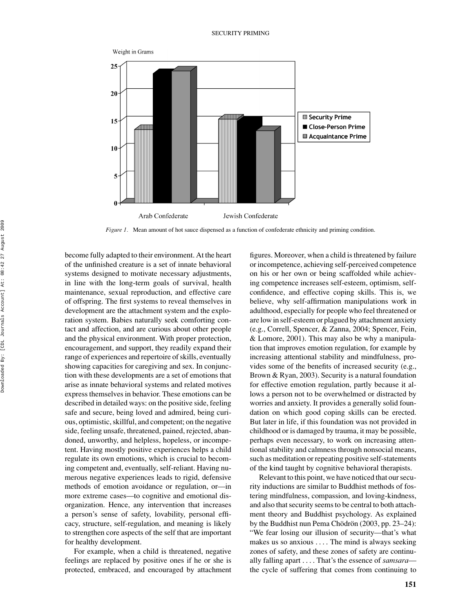

*Figure 1.* Mean amount of hot sauce dispensed as a function of confederate ethnicity and priming condition.

become fully adapted to their environment. At the heart of the unfinished creature is a set of innate behavioral systems designed to motivate necessary adjustments, in line with the long-term goals of survival, health maintenance, sexual reproduction, and effective care of offspring. The first systems to reveal themselves in development are the attachment system and the exploration system. Babies naturally seek comforting contact and affection, and are curious about other people and the physical environment. With proper protection, encouragement, and support, they readily expand their range of experiences and repertoire of skills, eventually showing capacities for caregiving and sex. In conjunction with these developments are a set of emotions that arise as innate behavioral systems and related motives express themselves in behavior. These emotions can be described in detailed ways: on the positive side, feeling safe and secure, being loved and admired, being curious, optimistic, skillful, and competent; on the negative side, feeling unsafe, threatened, pained, rejected, abandoned, unworthy, and helpless, hopeless, or incompetent. Having mostly positive experiences helps a child regulate its own emotions, which is crucial to becoming competent and, eventually, self-reliant. Having numerous negative experiences leads to rigid, defensive methods of emotion avoidance or regulation, or—in more extreme cases—to cognitive and emotional disorganization. Hence, any intervention that increases a person's sense of safety, lovability, personal efficacy, structure, self-regulation, and meaning is likely to strengthen core aspects of the self that are important for healthy development.

For example, when a child is threatened, negative feelings are replaced by positive ones if he or she is protected, embraced, and encouraged by attachment figures. Moreover, when a child is threatened by failure or incompetence, achieving self-perceived competence on his or her own or being scaffolded while achieving competence increases self-esteem, optimism, selfconfidence, and effective coping skills. This is, we believe, why self-affirmation manipulations work in adulthood, especially for people who feel threatened or are low in self-esteem or plagued by attachment anxiety (e.g., Correll, Spencer, & Zanna, 2004; Spencer, Fein, & Lomore, 2001). This may also be why a manipulation that improves emotion regulation, for example by increasing attentional stability and mindfulness, provides some of the benefits of increased security (e.g., Brown & Ryan, 2003). Security is a natural foundation for effective emotion regulation, partly because it allows a person not to be overwhelmed or distracted by worries and anxiety. It provides a generally solid foundation on which good coping skills can be erected. But later in life, if this foundation was not provided in childhood or is damaged by trauma, it may be possible, perhaps even necessary, to work on increasing attentional stability and calmness through nonsocial means, such as meditation or repeating positive self-statements of the kind taught by cognitive behavioral therapists.

Relevant to this point, we have noticed that our security inductions are similar to Buddhist methods of fostering mindfulness, compassion, and loving-kindness, and also that security seems to be central to both attachment theory and Buddhist psychology. As explained by the Buddhist nun Pema Chödrön (2003, pp. 23–24): "We fear losing our illusion of security—that's what makes us so anxious .... The mind is always seeking zones of safety, and these zones of safety are continually falling apart . . . . That's the essence of *samsara* the cycle of suffering that comes from continuing to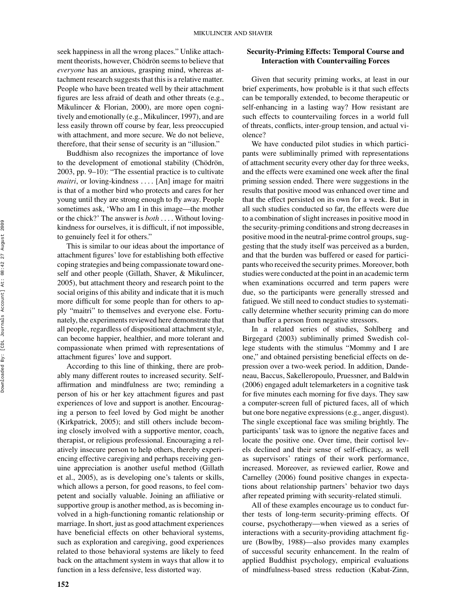seek happiness in all the wrong places." Unlike attachment theorists, however, Chödrön seems to believe that *everyone* has an anxious, grasping mind, whereas attachment research suggests that this is a relative matter. People who have been treated well by their attachment figures are less afraid of death and other threats (e.g., Mikulincer & Florian, 2000), are more open cognitively and emotionally (e.g., Mikulincer, 1997), and are less easily thrown off course by fear, less preoccupied with attachment, and more secure. We do not believe, therefore, that their sense of security is an "illusion."

Buddhism also recognizes the importance of love to the development of emotional stability (Chödrön, 2003, pp. 9–10): "The essential practice is to cultivate *maitri*, or loving-kindness . . . . [An] image for maitri is that of a mother bird who protects and cares for her young until they are strong enough to fly away. People sometimes ask, 'Who am I in this image—the mother or the chick?' The answer is *both* . . . . Without lovingkindness for ourselves, it is difficult, if not impossible, to genuinely feel it for others."

This is similar to our ideas about the importance of attachment figures' love for establishing both effective coping strategies and being compassionate toward oneself and other people (Gillath, Shaver, & Mikulincer, 2005), but attachment theory and research point to the social origins of this ability and indicate that it is much more difficult for some people than for others to apply "maitri" to themselves and everyone else. Fortunately, the experiments reviewed here demonstrate that all people, regardless of dispositional attachment style, can become happier, healthier, and more tolerant and compassionate when primed with representations of attachment figures' love and support.

According to this line of thinking, there are probably many different routes to increased security. Selfaffirmation and mindfulness are two; reminding a person of his or her key attachment figures and past experiences of love and support is another. Encouraging a person to feel loved by God might be another (Kirkpatrick, 2005); and still others include becoming closely involved with a supportive mentor, coach, therapist, or religious professional. Encouraging a relatively insecure person to help others, thereby experiencing effective caregiving and perhaps receiving genuine appreciation is another useful method (Gillath et al., 2005), as is developing one's talents or skills, which allows a person, for good reasons, to feel competent and socially valuable. Joining an affiliative or supportive group is another method, as is becoming involved in a high-functioning romantic relationship or marriage. In short, just as good attachment experiences have beneficial effects on other behavioral systems, such as exploration and caregiving, good experiences related to those behavioral systems are likely to feed back on the attachment system in ways that allow it to function in a less defensive, less distorted way.

## **Security-Priming Effects: Temporal Course and Interaction with Countervailing Forces**

Given that security priming works, at least in our brief experiments, how probable is it that such effects can be temporally extended, to become therapeutic or self-enhancing in a lasting way? How resistant are such effects to countervailing forces in a world full of threats, conflicts, inter-group tension, and actual violence?

We have conducted pilot studies in which participants were subliminally primed with representations of attachment security every other day for three weeks, and the effects were examined one week after the final priming session ended. There were suggestions in the results that positive mood was enhanced over time and that the effect persisted on its own for a week. But in all such studies conducted so far, the effects were due to a combination of slight increases in positive mood in the security-priming conditions and strong decreases in positive mood in the neutral-prime control groups, suggesting that the study itself was perceived as a burden, and that the burden was buffered or eased for participants who received the security primes. Moreover, both studies were conducted at the point in an academic term when examinations occurred and term papers were due, so the participants were generally stressed and fatigued. We still need to conduct studies to systematically determine whether security priming can do more than buffer a person from negative stressors.

In a related series of studies, Sohlberg and Birgegard (2003) subliminally primed Swedish college students with the stimulus "Mommy and I are one," and obtained persisting beneficial effects on depression over a two-week period. In addition, Dandeneau, Baccus, Sakelleropoulo, Pruessner, and Baldwin (2006) engaged adult telemarketers in a cognitive task for five minutes each morning for five days. They saw a computer-screen full of pictured faces, all of which but one bore negative expressions (e.g., anger, disgust). The single exceptional face was smiling brightly. The participants' task was to ignore the negative faces and locate the positive one. Over time, their cortisol levels declined and their sense of self-efficacy, as well as supervisors' ratings of their work performance, increased. Moreover, as reviewed earlier, Rowe and Carnelley (2006) found positive changes in expectations about relationship partners' behavior two days after repeated priming with security-related stimuli.

All of these examples encourage us to conduct further tests of long-term security-priming effects. Of course, psychotherapy—when viewed as a series of interactions with a security-providing attachment figure (Bowlby, 1988)—also provides many examples of successful security enhancement. In the realm of applied Buddhist psychology, empirical evaluations of mindfulness-based stress reduction (Kabat-Zinn,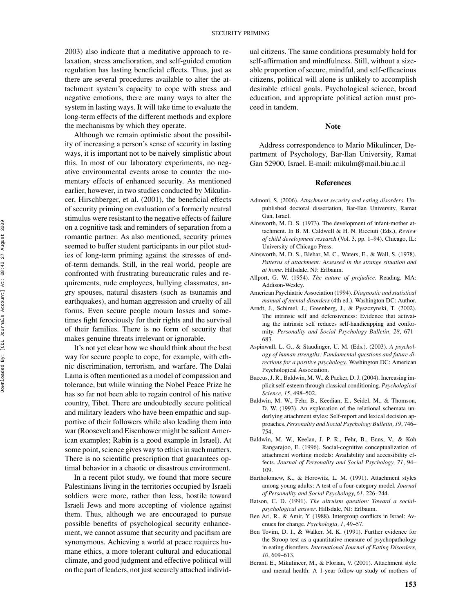2003) also indicate that a meditative approach to relaxation, stress amelioration, and self-guided emotion regulation has lasting beneficial effects. Thus, just as there are several procedures available to alter the attachment system's capacity to cope with stress and negative emotions, there are many ways to alter the system in lasting ways. It will take time to evaluate the long-term effects of the different methods and explore the mechanisms by which they operate.

Although we remain optimistic about the possibility of increasing a person's sense of security in lasting ways, it is important not to be naively simplistic about this. In most of our laboratory experiments, no negative environmental events arose to counter the momentary effects of enhanced security. As mentioned earlier, however, in two studies conducted by Mikulincer, Hirschberger, et al. (2001), the beneficial effects of security priming on evaluation of a formerly neutral stimulus were resistant to the negative effects of failure on a cognitive task and reminders of separation from a romantic partner. As also mentioned, security primes seemed to buffer student participants in our pilot studies of long-term priming against the stresses of endof-term demands. Still, in the real world, people are confronted with frustrating bureaucratic rules and requirements, rude employees, bullying classmates, angry spouses, natural disasters (such as tsunamis and earthquakes), and human aggression and cruelty of all forms. Even secure people mourn losses and sometimes fight ferociously for their rights and the survival of their families. There is no form of security that makes genuine threats irrelevant or ignorable.

It's not yet clear how we should think about the best way for secure people to cope, for example, with ethnic discrimination, terrorism, and warfare. The Dalai Lama is often mentioned as a model of compassion and tolerance, but while winning the Nobel Peace Prize he has so far not been able to regain control of his native country, Tibet. There are undoubtedly secure political and military leaders who have been empathic and supportive of their followers while also leading them into war (Roosevelt and Eisenhower might be salient American examples; Rabin is a good example in Israel). At some point, science gives way to ethics in such matters. There is no scientific prescription that guarantees optimal behavior in a chaotic or disastrous environment.

In a recent pilot study, we found that more secure Palestinians living in the territories occupied by Israeli soldiers were more, rather than less, hostile toward Israeli Jews and more accepting of violence against them. Thus, although we are encouraged to pursue possible benefits of psychological security enhancement, we cannot assume that security and pacifism are synonymous. Achieving a world at peace requires humane ethics, a more tolerant cultural and educational climate, and good judgment and effective political will on the part of leaders, not just securely attached individual citizens. The same conditions presumably hold for self-affirmation and mindfulness. Still, without a sizeable proportion of secure, mindful, and self-efficacious citizens, political will alone is unlikely to accomplish desirable ethical goals. Psychological science, broad education, and appropriate political action must proceed in tandem.

#### **Note**

Address correspondence to Mario Mikulincer, Department of Psychology, Bar-Ilan University, Ramat Gan 52900, Israel. E-mail: mikulm@mail.biu.ac.il

#### **References**

- Admoni, S. (2006). *Attachment security and eating disorders*. Unpublished doctoral dissertation, Bar-Ilan University, Ramat Gan, Israel.
- Ainsworth, M. D. S. (1973). The development of infant-mother attachment. In B. M. Caldwell & H. N. Ricciuti (Eds.), *Review of child development research* (Vol. 3, pp. 1–94). Chicago, IL: University of Chicago Press.
- Ainsworth, M. D. S., Blehar, M. C., Waters, E., & Wall, S. (1978). *Patterns of attachment: Assessed in the strange situation and at home.* Hillsdale, NJ: Erlbaum.
- Allport, G. W. (1954). *The nature of prejudice.* Reading, MA: Addison-Wesley.
- American Psychiatric Association (1994). *Diagnostic and statistical manual of mental disorders* (4th ed.). Washington DC: Author.
- Arndt, J., Schimel, J., Greenberg, J., & Pyszczynski, T. (2002). The intrinsic self and defensiveness: Evidence that activating the intrinsic self reduces self-handicapping and conformity. *Personality and Social Psychology Bulletin, 28*, 671– 683.
- Aspinwall, L. G., & Staudinger, U. M. (Eds.). (2003). *A psychology of human strengths: Fundamental questions and future directions for a positive psychology*. Washington DC: American Psychological Association.
- Baccus, J. R., Baldwin, M. W., & Packer, D. J. (2004). Increasing implicit self-esteem through classical conditioning. *Psychological Science, 15*, 498–502.
- Baldwin, M. W., Fehr, B., Keedian, E., Seidel, M., & Thomson, D. W. (1993). An exploration of the relational schemata underlying attachment styles: Self-report and lexical decision approaches. *Personality and Social Psychology Bulletin, 19*, 746– 754.
- Baldwin, M. W., Keelan, J. P. R., Fehr, B., Enns, V., & Koh Rangarajoo, E. (1996). Social-cognitive conceptualization of attachment working models: Availability and accessibility effects. *Journal of Personality and Social Psychology, 71*, 94– 109.
- Bartholomew, K., & Horowitz, L. M. (1991). Attachment styles among young adults: A test of a four-category model. *Journal of Personality and Social Psychology, 61*, 226–244.
- Batson, C. D. (1991). *The altruism question: Toward a socialpsychological answer*. Hillsdale, NJ: Erlbaum.
- Ben Ari, R., & Amir, Y. (1988). Intergroup conflicts in Israel: Avenues for change. *Psychologia, 1*, 49–57.
- Ben Tovim, D. I., & Walker, M. K. (1991). Further evidence for the Stroop test as a quantitative measure of psychopathology in eating disorders. *International Journal of Eating Disorders, 10*, 609–613.
- Berant, E., Mikulincer, M., & Florian, V. (2001). Attachment style and mental health: A 1-year follow-up study of mothers of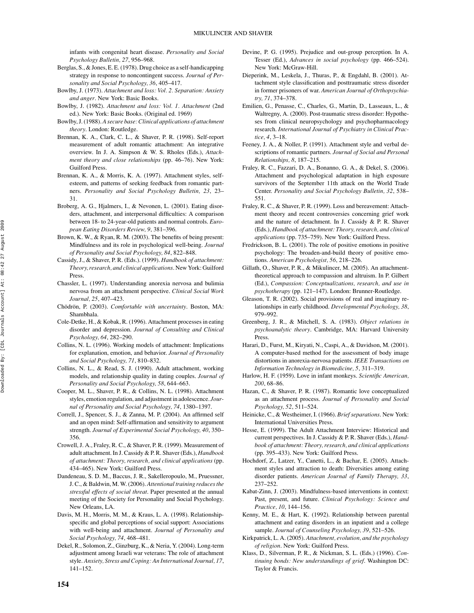infants with congenital heart disease. *Personality and Social Psychology Bulletin, 27*, 956–968.

- Berglas, S., & Jones, E. E. (1978). Drug choice as a self-handicapping strategy in response to noncontingent success. *Journal of Personality and Social Psychology, 36*, 405–417.
- Bowlby, J. (1973). *Attachment and loss: Vol. 2. Separation: Anxiety and anger*. New York: Basic Books.
- Bowlby, J. (1982). *Attachment and loss: Vol. 1. Attachment* (2nd ed.). New York: Basic Books. (Original ed. 1969)
- Bowlby, J. (1988). *A secure base: Clinical applications of attachment theory*. London: Routledge.
- Brennan, K. A., Clark, C. L., & Shaver, P. R. (1998). Self-report measurement of adult romantic attachment: An integrative overview. In J. A. Simpson & W. S. Rholes (Eds.), *Attachment theory and close relationships* (pp. 46–76). New York: Guilford Press.
- Brennan, K. A., & Morris, K. A. (1997). Attachment styles, selfesteem, and patterns of seeking feedback from romantic partners. *Personality and Social Psychology Bulletin, 23*, 23– 31.
- Broberg, A. G., Hjalmers, I., & Nevonen, L. (2001). Eating disorders, attachment, and interpersonal difficulties: A comparison between 18- to 24-year-old patients and normal controls. *European Eating Disorders Review, 9*, 381–396.
- Brown, K. W., & Ryan, R. M. (2003). The benefits of being present: Mindfulness and its role in psychological well-being. *Journal of Personality and Social Psychology, 84*, 822–848.
- Cassidy, J., & Shaver, P. R. (Eds.). (1999). *Handbook of attachment: Theory, research, and clinical applications*. New York: Guilford Press.
- Chassler, L. (1997). Understanding anorexia nervosa and bulimia nervosa from an attachment perspective. *Clinical Social Work Journal, 25*, 407–423.
- Chödrön, P. (2003). Comfortable with uncertainty. Boston, MA: Shambhala.
- Cole-Detke, H., & Kobak, R. (1996). Attachment processes in eating disorder and depression. *Journal of Consulting and Clinical Psychology, 64*, 282–290.
- Collins, N. L. (1996). Working models of attachment: Implications for explanation, emotion, and behavior. *Journal of Personality and Social Psychology, 71*, 810–832.
- Collins, N. L., & Read, S. J. (1990). Adult attachment, working models, and relationship quality in dating couples. *Journal of Personality and Social Psychology, 58*, 644–663.
- Cooper, M. L., Shaver, P. R., & Collins, N. L. (1998). Attachment styles, emotion regulation, and adjustment in adolescence. *Journal of Personality and Social Psychology, 74*, 1380–1397.
- Correll, J., Spencer, S. J., & Zanna, M. P. (2004). An affirmed self and an open mind: Self-affirmation and sensitivity to argument strength. *Journal of Experimental Social Psychology, 40*, 350– 356.
- Crowell, J. A., Fraley, R. C., & Shaver, P. R. (1999). Measurement of adult attachment. In J. Cassidy & P. R. Shaver (Eds.), *Handbook of attachment: Theory, research, and clinical applications* (pp. 434–465). New York: Guilford Press.
- Dandeneau, S. D. M., Baccus, J. R., Sakelleropoulo, M., Pruessner, J. C., & Baldwin, M. W. (2006). *Attentional training reduces the stressful effects of social threat*. Paper presented at the annual meeting of the Society for Personality and Social Psychology. New Orleans, LA.
- Davis, M. H., Morris, M. M., & Kraus, L. A. (1998). Relationshipspecific and global perceptions of social support: Associations with well-being and attachment. *Journal of Personality and Social Psychology, 74*, 468–481.
- Dekel, R., Solomon, Z., Ginzburg, K., & Neria, Y. (2004). Long-term adjustment among Israeli war veterans: The role of attachment style. *Anxiety, Stress and Coping: An International Journal, 17*, 141–152.
- Devine, P. G. (1995). Prejudice and out-group perception. In A. Tesser (Ed.), *Advances in social psychology* (pp. 466–524). New York: McGraw-Hill.
- Dieperink, M., Leskela, J., Thuras, P., & Engdahl, B. (2001). Attachment style classification and posttraumatic stress disorder in former prisoners of war. *American Journal of Orthopsychiatry, 71*, 374–378.
- Emilien, G., Penasse, C., Charles, G., Martin, D., Lasseaux, L., & Waltregny, A. (2000). Post-traumatic stress disorder: Hypotheses from clinical neuropsychology and psychopharmacology research. *International Journal of Psychiatry in Clinical Practice, 4*, 3–18.
- Feeney, J. A., & Noller, P. (1991). Attachment style and verbal descriptions of romantic partners. *Journal of Social and Personal Relationships, 8*, 187–215.
- Fraley, R. C., Fazzari, D. A., Bonanno, G. A., & Dekel, S. (2006). Attachment and psychological adaptation in high exposure survivors of the September 11th attack on the World Trade Center. *Personality and Social Psychology Bulletin, 32*, 538– 551.
- Fraley, R. C., & Shaver, P. R. (1999). Loss and bereavement: Attachment theory and recent controversies concerning grief work and the nature of detachment. In J. Cassidy & P. R. Shaver (Eds.), *Handbook of attachment: Theory, research, and clinical applications* (pp. 735–759). New York: Guilford Press.
- Fredrickson, B. L. (2001). The role of positive emotions in positive psychology: The broaden-and-build theory of positive emotions. *American Psychologist, 56*, 218–226.
- Gillath, O., Shaver, P. R., & Mikulincer, M. (2005). An attachmenttheoretical approach to compassion and altruism. In P. Gilbert (Ed.), *Compassion: Conceptualizations, research, and use in psychotherapy* (pp. 121–147). London: Brunner-Routledge.
- Gleason, T. R. (2002). Social provisions of real and imaginary relationships in early childhood. *Developmental Psychology, 38*, 979–992.
- Greenberg, J. R., & Mitchell, S. A. (1983). *Object relations in psychoanalytic theory*. Cambridge, MA: Harvard University Press.
- Harari, D., Furst, M., Kiryati, N., Caspi, A., & Davidson, M. (2001). A computer-based method for the assessment of body image distortions in anorexia-nervosa patients*. IEEE Transactions on Information Technology in Biomedicine, 5*, 311–319.
- Harlow, H. F. (1959). Love in infant monkeys. *Scientific American, 200*, 68–86.
- Hazan, C., & Shaver, P. R. (1987). Romantic love conceptualized as an attachment process. *Journal of Personality and Social Psychology, 52*, 511–524.
- Heinicke, C., & Westheimer, I. (1966). *Brief separations*. New York: International Universities Press.
- Hesse, E. (1999). The Adult Attachment Interview: Historical and current perspectives. In J. Cassidy & P. R. Shaver (Eds.), *Handbook of attachment: Theory, research, and clinical applications* (pp. 395–433). New York: Guilford Press.
- Hochdorf, Z., Latzer, Y., Canetti, L., & Bachar, E. (2005). Attachment styles and attraction to death: Diversities among eating disorder patients. *American Journal of Family Therapy, 33*, 237–252.
- Kabat-Zinn, J. (2003). Mindfulness-based interventions in context: Past, present, and future. *Clinical Psychology: Science and Practice, 10*, 144–156.
- Kenny, M. E., & Hart, K. (1992). Relationship between parental attachment and eating disorders in an inpatient and a college sample. *Journal of Counseling Psychology, 39*, 521–526.
- Kirkpatrick, L. A. (2005). *Attachment, evolution, and the psychology of religion*. New York: Guilford Press.
- Klass, D., Silverman, P. R., & Nickman, S. L. (Eds.) (1996). *Continuing bonds: New understandings of grief*. Washington DC: Taylor & Francis.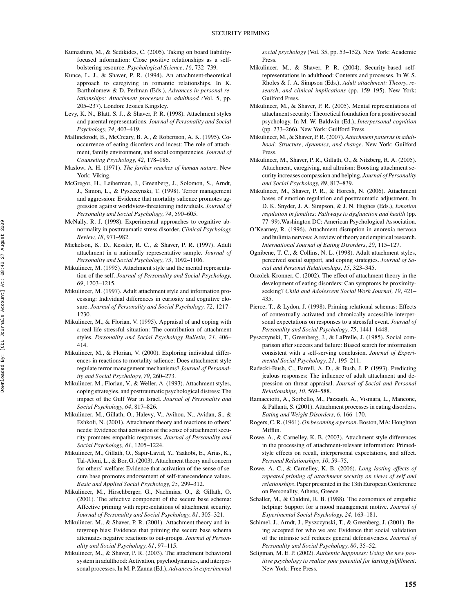- Kumashiro, M., & Sedikides, C. (2005). Taking on board liabilityfocused information: Close positive relationships as a selfbolstering resource. *Psychological Science, 16*, 732–739.
- Kunce, L. J., & Shaver, P. R. (1994). An attachment-theoretical approach to caregiving in romantic relationships. In K. Bartholomew & D. Perlman (Eds.), *Advances in personal relationships: Attachment processes in adulthood (*Vol. 5, pp. 205–237). London: Jessica Kingsley.
- Levy, K. N., Blatt, S. J., & Shaver, P. R. (1998). Attachment styles and parental representations*. Journal of Personality and Social Psychology, 74*, 407–419.
- Mallinckrodt, B., McCreary, B. A., & Robertson, A. K. (1995). Cooccurrence of eating disorders and incest: The role of attachment, family environment, and social competencies. *Journal of Counseling Psychology, 42*, 178–186.
- Maslow, A. H. (1971). *The farther reaches of human nature*. New York: Viking.
- McGregor, H., Leiberman, J., Greenberg, J., Solomon, S., Arndt, J., Simon, L., & Pyszczynski, T. (1998). Terror management and aggression: Evidence that mortality salience promotes aggression against worldview-threatening individuals. *Journal of Personality and Social Psychology, 74*, 590–605*.*
- McNally, R. J. (1998). Experimental approaches to cognitive abnormality in posttraumatic stress disorder. *Clinical Psychology Review, 18*, 971–982.
- Mickelson, K. D., Kessler, R. C., & Shaver, P. R. (1997). Adult attachment in a nationally representative sample. *Journal of Personality and Social Psychology, 73*, 1092–1106.
- Mikulincer, M. (1995). Attachment style and the mental representation of the self. *Journal of Personality and Social Psychology, 69*, 1203–1215.
- Mikulincer, M. (1997). Adult attachment style and information processing: Individual differences in curiosity and cognitive closure. *Journal of Personality and Social Psychology, 72*, 1217– 1230.
- Mikulincer, M., & Florian, V. (1995). Appraisal of and coping with a real-life stressful situation: The contribution of attachment styles. *Personality and Social Psychology Bulletin, 21*, 406– 414.
- Mikulincer, M., & Florian, V. (2000). Exploring individual differences in reactions to mortality salience: Does attachment style regulate terror management mechanisms? *Journal of Personality and Social Psychology, 79*, 260–273.
- Mikulincer, M., Florian, V., & Weller, A. (1993). Attachment styles, coping strategies, and posttraumatic psychological distress: The impact of the Gulf War in Israel. *Journal of Personality and Social Psychology, 64*, 817–826.
- Mikulincer, M., Gillath, O., Halevy, V., Avihou, N., Avidan, S., & Eshkoli, N. (2001). Attachment theory and reactions to others' needs: Evidence that activation of the sense of attachment security promotes empathic responses. *Journal of Personality and Social Psychology, 81*, 1205–1224.
- Mikulincer, M., Gillath, O., Sapir-Lavid, Y., Yaakobi, E., Arias, K., Tal-Aloni, L., & Bor, G. (2003). Attachment theory and concern for others' welfare: Evidence that activation of the sense of secure base promotes endorsement of self-transcendence values. *Basic and Applied Social Psychology, 25*, 299–312.
- Mikulincer, M., Hirschberger, G., Nachmias, O., & Gillath, O. (2001). The affective component of the secure base schema: Affective priming with representations of attachment security. *Journal of Personality and Social Psychology, 81*, 305–321.
- Mikulincer, M., & Shaver, P. R. (2001). Attachment theory and intergroup bias: Evidence that priming the secure base schema attenuates negative reactions to out-groups. *Journal of Personality and Social Psychology, 81*, 97–115.
- Mikulincer, M., & Shaver, P. R. (2003). The attachment behavioral system in adulthood: Activation, psychodynamics, and interpersonal processes. In M. P. Zanna (Ed.), *Advances in experimental*

*social psychology* (Vol. 35, pp. 53–152). New York: Academic Press.

- Mikulincer, M., & Shaver, P. R. (2004). Security-based selfrepresentations in adulthood: Contents and processes. In W. S. Rholes & J. A. Simpson (Eds.), *Adult attachment: Theory, research, and clinical implications* (pp. 159–195). New York: Guilford Press.
- Mikulincer, M., & Shaver, P. R. (2005). Mental representations of attachment security: Theoretical foundation for a positive social psychology. In M. W. Baldwin (Ed.), *Interpersonal cognition* (pp. 233–266). New York: Guilford Press.
- Mikulincer, M., & Shaver, P. R. (2007). *Attachment patterns in adulthood: Structure, dynamics, and change*. New York: Guilford Press.
- Mikulincer, M., Shaver, P. R., Gillath, O., & Nitzberg, R. A. (2005). Attachment, caregiving, and altruism: Boosting attachment security increases compassion and helping. *Journal of Personality and Social Psychology, 89*, 817–839.
- Mikulincer, M., Shaver, P. R., & Horesh, N. (2006). Attachment bases of emotion regulation and posttraumatic adjustment. In D. K. Snyder, J. A. Simpson, & J. N. Hughes (Eds.), *Emotion regulation in families: Pathways to dysfunction and health* (pp. 77–99)*.*Washington DC: American Psychological Association.
- O'Kearney, R. (1996). Attachment disruption in anorexia nervosa and bulimia nervosa: A review of theory and empirical research. *International Journal of Eating Disorders, 20*, 115–127.
- Ognibene, T. C., & Collins, N. L. (1998). Adult attachment styles, perceived social support, and coping strategies. *Journal of Social and Personal Relationships, 15*, 323–345.
- Orzolek-Kronner, C. (2002). The effect of attachment theory in the development of eating disorders: Can symptoms be proximityseeking? *Child and Adolescent Social Work Journal, 19*, 421– 435.
- Pierce, T., & Lydon, J. (1998). Priming relational schemas: Effects of contextually activated and chronically accessible interpersonal expectations on responses to a stressful event. *Journal of Personality and Social Psychology, 75*, 1441–1448.
- Pyszczynski, T., Greenberg, J., & LaPrelle, J. (1985). Social comparison after success and failure: Biased search for information consistent with a self-serving conclusion. *Journal of Experimental Social Psychology, 21*, 195–211.
- Radecki-Bush, C., Farrell, A. D., & Bush, J. P. (1993). Predicting jealous responses: The influence of adult attachment and depression on threat appraisal. *Journal of Social and Personal Relationships, 10*, 569–588.
- Ramacciotti, A., Sorbello, M., Pazzagli, A., Vismara, L., Mancone, & Pallanti, S. (2001). Attachment processes in eating disorders. *Eating and Weight Disorders, 6*, 166–170.
- Rogers, C. R. (1961). *On becoming a person*. Boston, MA: Houghton Mifflin*.*
- Rowe, A., & Carnelley, K. B. (2003). Attachment style differences in the processing of attachment-relevant information: Primedstyle effects on recall, interpersonal expectations, and affect. *Personal Relationships, 10*, 59–75.
- Rowe, A. C., & Carnelley, K. B. (2006). *Long lasting effects of repeated priming of attachment security on views of self and relationships*. Paper presented in the 13th European Conference on Personality, Athens, Greece.
- Schaller, M., & Cialdini, R. B. (1988). The economics of empathic helping: Support for a mood management motive. *Journal of Experimental Social Psychology, 24*, 163–181.
- Schimel, J., Arndt, J., Pyszczynski, T., & Greenberg, J. (2001). Being accepted for who we are: Evidence that social validation of the intrinsic self reduces general defensiveness. *Journal of Personality and Social Psychology, 80*, 35–52*.*
- Seligman, M. E. P. (2002). *Authentic happiness: Using the new positive psychology to realize your potential for lasting fulfillment*. New York: Free Press.